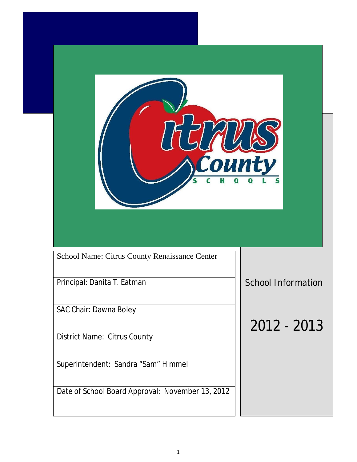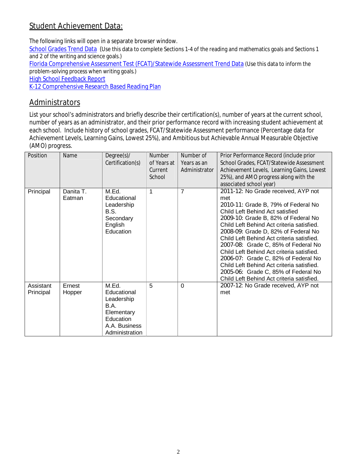## **Student Achievement Data:**

The following links will open in a separate browser window.

School Grades Trend Data (Use this data to complete Sections 1-4 of the reading and mathematics goals and Sections 1 and 2 of the writing and science goals.)

Florida Comprehensive Assessment Test (FCAT)/Statewide Assessment Trend Data (Use this data to inform the problem-solving process when writing goals.)

**High School Feedback Report** 

K-12 Comprehensive Research Based Reading Plan

### **Administrators**

List your school's administrators and briefly describe their certification(s), number of years at the current school, number of years as an administrator, and their prior performance record with increasing student achievement at each school. Include history of school grades, FCAT/Statewide Assessment performance (Percentage data for Achievement Levels, Learning Gains, Lowest 25%), and Ambitious but Achievable Annual Measurable Objective (AMO) progress.

| Position               | Name                | Degree(s)/<br>Certification(s)                                                                                  | Number<br>of Years at<br>Current<br>School | Number of<br>Years as an<br>Administrator | Prior Performance Record (include prior<br>School Grades, FCAT/Statewide Assessment<br>Achievement Levels, Learning Gains, Lowest<br>25%), and AMO progress along with the<br>associated school year)                                                                                                                                                                                                                                                                                                                                                    |
|------------------------|---------------------|-----------------------------------------------------------------------------------------------------------------|--------------------------------------------|-------------------------------------------|----------------------------------------------------------------------------------------------------------------------------------------------------------------------------------------------------------------------------------------------------------------------------------------------------------------------------------------------------------------------------------------------------------------------------------------------------------------------------------------------------------------------------------------------------------|
| Principal              | Danita T.<br>Eatman | M.Ed.<br>Educational<br>Leadership<br>B.S.<br>Secondary<br>English<br>Education                                 | 1                                          | $\overline{7}$                            | 2011-12: No Grade received, AYP not<br>met<br>2010-11: Grade B, 79% of Federal No<br>Child Left Behind Act satisfied<br>2009-10: Grade B, 82% of Federal No<br>Child Left Behind Act criteria satisfied.<br>2008-09: Grade D, 82% of Federal No<br>Child Left Behind Act criteria satisfied.<br>2007-08: Grade C, 85% of Federal No<br>Child Left Behind Act criteria satisfied.<br>2006-07: Grade C, 82% of Federal No<br>Child Left Behind Act criteria satisfied.<br>2005-06: Grade C, 85% of Federal No<br>Child Left Behind Act criteria satisfied. |
| Assistant<br>Principal | Ernest<br>Hopper    | M.Ed.<br>Educational<br>Leadership<br><b>B.A.</b><br>Elementary<br>Education<br>A.A. Business<br>Administration | 5                                          | $\Omega$                                  | 2007-12: No Grade received, AYP not<br>met                                                                                                                                                                                                                                                                                                                                                                                                                                                                                                               |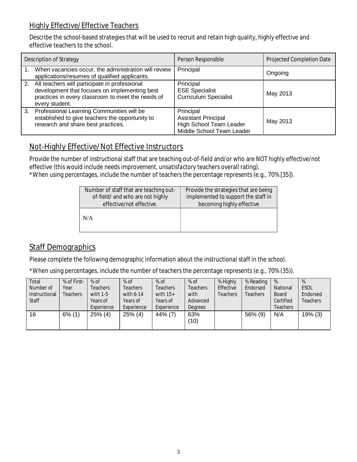### **Highly Effective/Effective Teachers**

Describe the school-based strategies that will be used to recruit and retain high quality, highly effective and effective teachers to the school.

| Description of Strategy |                                                                                                                                                                          | Person Responsible                                                                              | Projected Completion Date |
|-------------------------|--------------------------------------------------------------------------------------------------------------------------------------------------------------------------|-------------------------------------------------------------------------------------------------|---------------------------|
| $\mathbf{1}$ .          | When vacancies occur, the administration will review<br>applications/resumes of qualified applicants.                                                                    | Principal                                                                                       | Ongoing                   |
|                         | 2. All teachers will participate in professional<br>development that focuses on implementing best<br>practices in every classroom to meet the needs of<br>every student. | Principal<br><b>ESE Specialist</b><br><b>Curriculum Specialist</b>                              | May 2013                  |
| 3.                      | Professional Learning Communities will be<br>established to give teachers the opportunity to<br>research and share best practices.                                       | Principal<br><b>Assistant Principal</b><br>High School Team Leader<br>Middle School Team Leader | May 2013                  |

### **Not-Highly Effective/Not Effective Instructors**

Provide the number of instructional staff that are teaching out-of-field and/or who are NOT highly effective/not effective (this would include *needs improvement, unsatisfactory* teachers overall rating). \*When using percentages, include the number of teachers the percentage represents (e.g., 70% [35]).

| Number of staff that are teaching out- | Provide the strategies that are being |  |
|----------------------------------------|---------------------------------------|--|
| of-field/ and who are not highly       | implemented to support the staff in   |  |
| effective/not effective.               | becoming highly effective             |  |
| N/A                                    |                                       |  |

## **Staff Demographics**

Please complete the following demographic information about the instructional staff in the school.

\*When using percentages, include the number of teachers the percentage represents (e.g., 70% (35)).

| Total<br>Number of<br>Instructional<br>Staff | % of First- 9% of<br>Year<br>Teachers | Teachers<br>with 1-5<br>Years of<br>Experience | $%$ of<br>Teachers<br>with 6-14<br>Years of<br>Experience | $%$ of<br>Teachers<br>with $15+$<br>Years of<br>Experience | $%$ of<br><b>Teachers</b><br>with<br>Advanced<br>Dearees | % Highly<br>Effective<br>Teachers | % Reading<br>Endorsed<br>Teachers | %<br>National<br><b>Board</b><br>Certified<br>Teachers | %<br><b>ESOL</b><br>Endorsed<br>Teachers |
|----------------------------------------------|---------------------------------------|------------------------------------------------|-----------------------------------------------------------|------------------------------------------------------------|----------------------------------------------------------|-----------------------------------|-----------------------------------|--------------------------------------------------------|------------------------------------------|
| 16                                           | $6\%$ (1)                             | $25\%$ (4)                                     | $25\%$ (4)                                                | 44% (7)                                                    | 63%<br>(10)                                              |                                   | 56% (9)                           | N/A                                                    | 19% (3)                                  |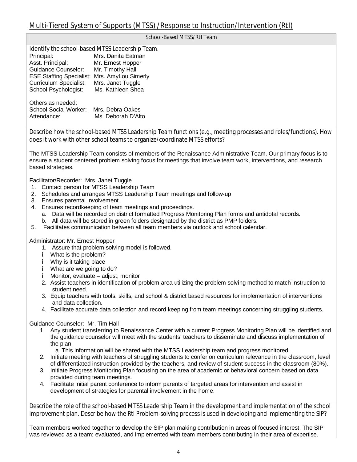#### **School-Based MTSS/RtI Team**

#### Identify the school-based MTSS Leadership Team.

| Principal:                                          | Mrs. Danita Eatman |
|-----------------------------------------------------|--------------------|
| Asst. Principal:                                    | Mr. Ernest Hopper  |
| <b>Guidance Counselor:</b>                          | Mr. Timothy Hall   |
| <b>ESE Staffing Specialist: Mrs. AmyLou Simerly</b> |                    |
| <b>Curriculum Specialist:</b>                       | Mrs. Janet Tuggle  |
| School Psychologist:                                | Ms. Kathleen Shea  |

Others as needed: School Social Worker: Mrs. Debra Oakes Attendance: Ms. Deborah D'Alto

Describe how the school-based MTSS Leadership Team functions (e.g., meeting processes and roles/functions). How does it work with other school teams to organize/coordinate MTSS efforts?

The MTSS Leadership Team consists of members of the Renaissance Administrative Team. Our primary focus is to ensure a student centered problem solving focus for meetings that involve team work, interventions, and research based strategies.

Facilitator/Recorder: Mrs. Janet Tuggle

- 1. Contact person for MTSS Leadership Team
- 2. Schedules and arranges MTSS Leadership Team meetings and follow-up
- 3. Ensures parental involvement
- 4. Ensures recordkeeping of team meetings and proceedings.
	- a. Data will be recorded on district formatted Progress Monitoring Plan forms and antidotal records.
	- b. All data will be stored in green folders designated by the district as PMP folders.
- 5. Facilitates communication between all team members via outlook and school calendar.

Administrator: Mr. Ernest Hopper

- 1. Assure that problem solving model is followed.
- What is the problem?
- Why is it taking place
- i What are we going to do?
- i Monitor, evaluate adjust, monitor
- 2. Assist teachers in identification of problem area utilizing the problem solving method to match instruction to student need.
- 3. Equip teachers with tools, skills, and school & district based resources for implementation of interventions and data collection.
- 4. Facilitate accurate data collection and record keeping from team meetings concerning struggling students.

#### Guidance Counselor: Mr. Tim Hall

1. Any student transferring to Renaissance Center with a current Progress Monitoring Plan will be identified and the guidance counselor will meet with the students' teachers to disseminate and discuss implementation of the plan.

a. This information will be shared with the MTSS Leadership team and progress monitored.

- 2. Initiate meeting with teachers of struggling students to confer on curriculum relevance in the classroom, level of differentiated instruction provided by the teachers, and review of student success in the classroom (80%).
- 3. Initiate Progress Monitoring Plan focusing on the area of academic or behavioral concern based on data provided during team meetings.
- 4. Facilitate initial parent conference to inform parents of targeted areas for intervention and assist in development of strategies for parental involvement in the home.

Describe the role of the school-based MTSS Leadership Team in the development and implementation of the school improvement plan. Describe how the RtI Problem-solving process is used in developing and implementing the SIP?

Team members worked together to develop the SIP plan making contribution in areas of focused interest. The SIP was reviewed as a team; evaluated, and implemented with team members contributing in their area of expertise.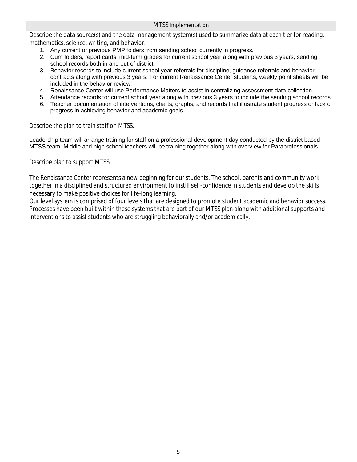#### **MTSS Implementation**

Describe the data source(s) and the data management system(s) used to summarize data at each tier for reading, mathematics, science, writing, and behavior.

- 1. Any current or previous PMP folders from sending school currently in progress.
- 2. Cum folders, report cards, mid-term grades for current school year along with previous 3 years, sending school records both in and out of district.
- 3. Behavior records to include current school year referrals for discipline, guidance referrals and behavior contracts along with previous 3 years. For current Renaissance Center students, weekly point sheets will be included in the behavior review.
- 4. Renaissance Center will use Performance Matters to assist in centralizing assessment data collection.
- 5. Attendance records for current school year along with previous 3 years to include the sending school records.
- 6. Teacher documentation of interventions, charts, graphs, and records that illustrate student progress or lack of progress in achieving behavior and academic goals.

#### Describe the plan to train staff on MTSS.

Leadership team will arrange training for staff on a professional development day conducted by the district based MTSS team. Middle and high school teachers will be training together along with overview for Paraprofessionals.

Describe plan to support MTSS.

The Renaissance Center represents a new beginning for our students. The school, parents and community work together in a disciplined and structured environment to instill self-confidence in students and develop the skills necessary to make positive choices for life-long learning.

Our level system is comprised of four levels that are designed to promote student academic and behavior success. Processes have been built within these systems that are part of our MTSS plan along with additional supports and interventions to assist students who are struggling behaviorally and/or academically.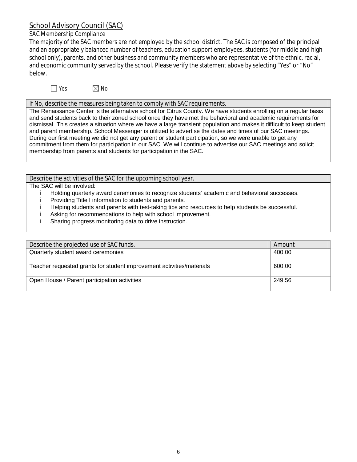### **School Advisory Council (SAC)**

### *SAC Membership Compliance*

The majority of the SAC members are not employed by the school district. The SAC is composed of the principal and an appropriately balanced number of teachers, education support employees, students (for middle and high school only), parents, and other business and community members who are representative of the ethnic, racial, and economic community served by the school. Please verify the statement above by selecting "Yes" or "No" below.



If No, describe the measures being taken to comply with SAC requirements.

The Renaissance Center is the alternative school for Citrus County. We have students enrolling on a regular basis and send students back to their zoned school once they have met the behavioral and academic requirements for dismissal. This creates a situation where we have a large transient population and makes it difficult to keep student and parent membership. School Messenger is utilized to advertise the dates and times of our SAC meetings. During our first meeting we did not get any parent or student participation, so we were unable to get any commitment from them for participation in our SAC. We will continue to advertise our SAC meetings and solicit membership from parents and students for participation in the SAC.

Describe the activities of the SAC for the upcoming school year.

The SAC will be involved:

- Holding quarterly award ceremonies to recognize students'academic and behavioral successes. j.
- i. Providing Title I information to students and parents.
- Helping students and parents with test-taking tips and resources to help students be successful. i.
- i. Asking for recommendations to help with school improvement.
- Sharing progress monitoring data to drive instruction. i.

| Describe the projected use of SAC funds.                              | Amount |
|-----------------------------------------------------------------------|--------|
| Quarterly student award ceremonies                                    | 400.00 |
| Teacher requested grants for student improvement activities/materials | 600.00 |
| Open House / Parent participation activities                          | 249.56 |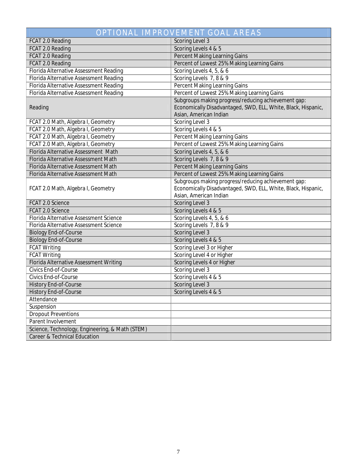|                                                 | <b>OPTIONAL IMPROVEMENT GOAL AREAS</b>                                                                                                         |
|-------------------------------------------------|------------------------------------------------------------------------------------------------------------------------------------------------|
| FCAT 2.0 Reading                                | Scoring Level 3                                                                                                                                |
| FCAT 2.0 Reading                                | Scoring Levels 4 & 5                                                                                                                           |
| FCAT 2.0 Reading                                | Percent Making Learning Gains                                                                                                                  |
| FCAT 2.0 Reading                                | Percent of Lowest 25% Making Learning Gains                                                                                                    |
| Florida Alternative Assessment Reading          | Scoring Levels 4, 5, & 6                                                                                                                       |
| Florida Alternative Assessment Reading          | Scoring Levels 7, 8 & 9                                                                                                                        |
| Florida Alternative Assessment Reading          | Percent Making Learning Gains                                                                                                                  |
| Florida Alternative Assessment Reading          | Percent of Lowest 25% Making Learning Gains                                                                                                    |
| Reading                                         | Subgroups making progress/reducing achievement gap:<br>Economically Disadvantaged, SWD, ELL, White, Black, Hispanic,<br>Asian, American Indian |
| FCAT 2.0 Math, Algebra I, Geometry              | Scoring Level 3                                                                                                                                |
| FCAT 2.0 Math, Algebra I, Geometry              | Scoring Levels 4 & 5                                                                                                                           |
| FCAT 2.0 Math, Algebra I, Geometry              | Percent Making Learning Gains                                                                                                                  |
| FCAT 2.0 Math, Algebra I, Geometry              | Percent of Lowest 25% Making Learning Gains                                                                                                    |
| Florida Alternative Assessment Math             | Scoring Levels 4, 5, & 6                                                                                                                       |
| Florida Alternative Assessment Math             | Scoring Levels 7, 8 & 9                                                                                                                        |
| Florida Alternative Assessment Math             | Percent Making Learning Gains                                                                                                                  |
| Florida Alternative Assessment Math             | Percent of Lowest 25% Making Learning Gains                                                                                                    |
| FCAT 2.0 Math, Algebra I, Geometry              | Subgroups making progress/reducing achievement gap:<br>Economically Disadvantaged, SWD, ELL, White, Black, Hispanic,<br>Asian, American Indian |
| FCAT 2.0 Science                                | Scoring Level 3                                                                                                                                |
| FCAT 2.0 Science                                | Scoring Levels 4 & 5                                                                                                                           |
| Florida Alternative Assessment Science          | Scoring Levels 4, 5, & 6                                                                                                                       |
| Florida Alternative Assessment Science          | Scoring Levels 7, 8 & 9                                                                                                                        |
| <b>Biology End-of-Course</b>                    | Scoring Level 3                                                                                                                                |
| <b>Biology End-of-Course</b>                    | Scoring Levels 4 & 5                                                                                                                           |
| FCAT Writing                                    | Scoring Level 3 or Higher                                                                                                                      |
| FCAT Writing                                    | Scoring Level 4 or Higher                                                                                                                      |
| Florida Alternative Assessment Writing          | Scoring Levels 4 or Higher                                                                                                                     |
| Civics End-of-Course                            | Scoring Level 3                                                                                                                                |
| Civics End-of-Course                            | Scoring Levels 4 & 5                                                                                                                           |
| History End-of-Course                           | Scoring Level 3                                                                                                                                |
| History End-of-Course                           | Scoring Levels 4 & 5                                                                                                                           |
| Attendance                                      |                                                                                                                                                |
| Suspension                                      |                                                                                                                                                |
| <b>Dropout Preventions</b>                      |                                                                                                                                                |
| Parent Involvement                              |                                                                                                                                                |
| Science, Technology, Engineering, & Math (STEM) |                                                                                                                                                |
| Career & Technical Education                    |                                                                                                                                                |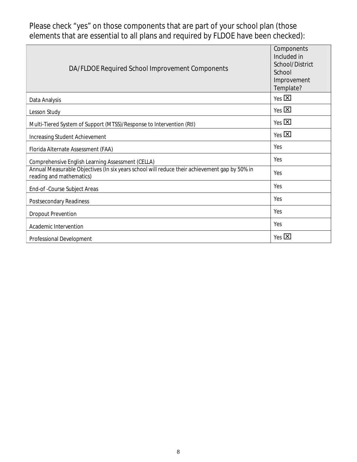Please check "yes"on those components that are part of your school plan (those elements that are essential to all plans and required by FLDOE have been checked):

| DA/FLDOE Required School Improvement Components                                                                           | Components<br>Included in<br>School/District<br>School<br>Improvement<br>Template? |
|---------------------------------------------------------------------------------------------------------------------------|------------------------------------------------------------------------------------|
| Data Analysis                                                                                                             | Yes $\boxtimes$                                                                    |
| Lesson Study                                                                                                              | Yes $\boxtimes$                                                                    |
| Multi-Tiered System of Support (MTSS)/Response to Intervention (RtI)                                                      | $Yes$ $\overline{X}$                                                               |
| Increasing Student Achievement                                                                                            | $Yes$ $X$                                                                          |
| Florida Alternate Assessment (FAA)                                                                                        | Yes                                                                                |
| Comprehensive English Learning Assessment (CELLA)                                                                         | Yes                                                                                |
| Annual Measurable Objectives (In six years school will reduce their achievement gap by 50% in<br>reading and mathematics) | Yes                                                                                |
| End-of-Course Subject Areas                                                                                               | Yes                                                                                |
| Postsecondary Readiness                                                                                                   | Yes                                                                                |
| Dropout Prevention                                                                                                        | Yes                                                                                |
| Academic Intervention                                                                                                     | Yes                                                                                |
| Professional Development                                                                                                  | $Yes$ $X$                                                                          |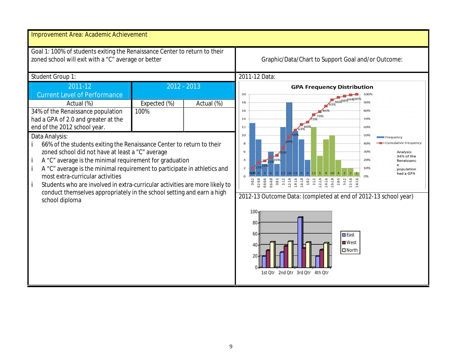| Improvement Area: Academic Achievement                                                                                                                                                                                                                                                                                                                                                                                                                                                                                                                                                                                                                                                   |                                     |                                                    |                                                                                                                                                                                                                                                                                                                                                                                                                                                                                                                                                                     |  |  |  |
|------------------------------------------------------------------------------------------------------------------------------------------------------------------------------------------------------------------------------------------------------------------------------------------------------------------------------------------------------------------------------------------------------------------------------------------------------------------------------------------------------------------------------------------------------------------------------------------------------------------------------------------------------------------------------------------|-------------------------------------|----------------------------------------------------|---------------------------------------------------------------------------------------------------------------------------------------------------------------------------------------------------------------------------------------------------------------------------------------------------------------------------------------------------------------------------------------------------------------------------------------------------------------------------------------------------------------------------------------------------------------------|--|--|--|
| Goal 1: 100% of students exiting the Renaissance Center to return to their<br>zoned school will exit with a "C" average or better                                                                                                                                                                                                                                                                                                                                                                                                                                                                                                                                                        |                                     | Graphic/Data/Chart to Support Goal and/or Outcome: |                                                                                                                                                                                                                                                                                                                                                                                                                                                                                                                                                                     |  |  |  |
| Student Group 1:                                                                                                                                                                                                                                                                                                                                                                                                                                                                                                                                                                                                                                                                         |                                     |                                                    | 2011-12 Data:                                                                                                                                                                                                                                                                                                                                                                                                                                                                                                                                                       |  |  |  |
| 2011-12<br><b>Current Level of Performance</b><br>Actual (%)<br>34% of the Renaissance population<br>had a GPA of 2.0 and greater at the<br>end of the 2012 school year.<br>Data Analysis:<br>66% of the students exiting the Renaissance Center to return to their<br>zoned school did not have at least a "C" average<br>A "C" average is the minimal requirement for graduation<br>A "C" average is the minimal requirement to participate in athletics and<br>j.<br>most extra-curricular activities<br>Students who are involved in extra-curricular activities are more likely to<br>j<br>conduct themselves appropriately in the school setting and earn a high<br>school diploma | 2012 - 2013<br>Expected (%)<br>100% | Actual (%)                                         | <b>GPA Frequency Distribution</b><br>20<br>100%<br>969888999800%<br>18<br>90%<br>16<br>86%<br>80%<br>79%<br>14<br>70%<br>12<br>63%<br>60%<br>10<br>50%<br>Frequency<br>-Cumulative Frequency<br>$\bf8$<br>40%<br>6<br>30%<br>Analysis:<br>34% of the<br>$\overline{a}$<br>20%<br>Renaissanc<br>$\overline{2}$<br>10%<br>population<br>4 12 5 9 10 4 2 2<br>had a GPA<br>0%<br>$3.4 - 3.6$<br>2012-13 Outcome Data: (completed at end of 2012-13 school year)<br>100<br>80<br>60<br><b>DEast</b><br><b>D</b> West<br>$\Box$ North<br>1st Otr 2nd Otr 3rd Otr 4th Otr |  |  |  |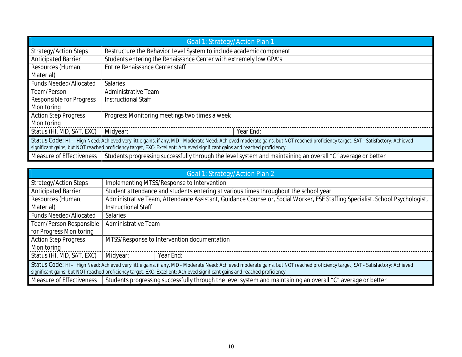|                                                                                                                                                                                                                                                                                                           | Goal 1: Strategy/Action Plan 1                                                                                                       |           |  |
|-----------------------------------------------------------------------------------------------------------------------------------------------------------------------------------------------------------------------------------------------------------------------------------------------------------|--------------------------------------------------------------------------------------------------------------------------------------|-----------|--|
| Strategy/Action Steps                                                                                                                                                                                                                                                                                     | Restructure the Behavior Level System to include academic component                                                                  |           |  |
| Anticipated Barrier                                                                                                                                                                                                                                                                                       | Students entering the Renaissance Center with extremely low GPA's                                                                    |           |  |
| Resources (Human,<br>Material)                                                                                                                                                                                                                                                                            | Entire Renaissance Center staff                                                                                                      |           |  |
| Funds Needed/Allocated                                                                                                                                                                                                                                                                                    | Salaries                                                                                                                             |           |  |
| Team/Person<br>Responsible for Progress<br>Monitoring                                                                                                                                                                                                                                                     | Administrative Team<br>Instructional Staff                                                                                           |           |  |
| <b>Action Step Progress</b><br>Monitoring                                                                                                                                                                                                                                                                 | Progress Monitoring meetings two times a week                                                                                        |           |  |
| Status (HI, MD, SAT, EXC)   Midyear:                                                                                                                                                                                                                                                                      |                                                                                                                                      | Year End: |  |
| Status Code: HI- High Need: Achieved very little gains, if any, MD - Moderate Need: Achieved moderate gains, but NOT reached proficiency target, SAT - Satisfactory: Achieved<br>significant gains, but NOT reached proficiency target, EXC-Excellent: Achieved significant gains and reached proficiency |                                                                                                                                      |           |  |
|                                                                                                                                                                                                                                                                                                           | Measure of Effectiveness Students progressing successfully through the level system and maintaining an overall "C" average or better |           |  |

|                                                                                                                                                                                                                                                                                                             | Goal 1: Strategy/Action Plan 2                                                                                                                            |  |  |  |  |
|-------------------------------------------------------------------------------------------------------------------------------------------------------------------------------------------------------------------------------------------------------------------------------------------------------------|-----------------------------------------------------------------------------------------------------------------------------------------------------------|--|--|--|--|
| <b>Strategy/Action Steps</b>                                                                                                                                                                                                                                                                                | Implementing MTSS/Response to Intervention                                                                                                                |  |  |  |  |
| <b>Anticipated Barrier</b>                                                                                                                                                                                                                                                                                  | Student attendance and students entering at various times throughout the school year                                                                      |  |  |  |  |
| Resources (Human,<br>Material)                                                                                                                                                                                                                                                                              | Administrative Team, Attendance Assistant, Guidance Counselor, Social Worker, ESE Staffing Specialist, School Psychologist,<br><b>Instructional Staff</b> |  |  |  |  |
| Funds Needed/Allocated                                                                                                                                                                                                                                                                                      | <b>Salaries</b>                                                                                                                                           |  |  |  |  |
| Team/Person Responsible                                                                                                                                                                                                                                                                                     | Administrative Team                                                                                                                                       |  |  |  |  |
| for Progress Monitoring                                                                                                                                                                                                                                                                                     |                                                                                                                                                           |  |  |  |  |
| <b>Action Step Progress</b><br>Monitoring                                                                                                                                                                                                                                                                   | MTSS/Response to Intervention documentation                                                                                                               |  |  |  |  |
| Status (HI, MD, SAT, EXC)                                                                                                                                                                                                                                                                                   | Year End:<br>Midyear:                                                                                                                                     |  |  |  |  |
| Status Code: HI - High Need: Achieved very little gains, if any, MD - Moderate Need: Achieved moderate gains, but NOT reached proficiency target, SAT - Satisfactory: Achieved<br>significant gains, but NOT reached proficiency target, EXC- Excellent: Achieved significant gains and reached proficiency |                                                                                                                                                           |  |  |  |  |
| Measure of Effectiveness                                                                                                                                                                                                                                                                                    | Students progressing successfully through the level system and maintaining an overall "C" average or better                                               |  |  |  |  |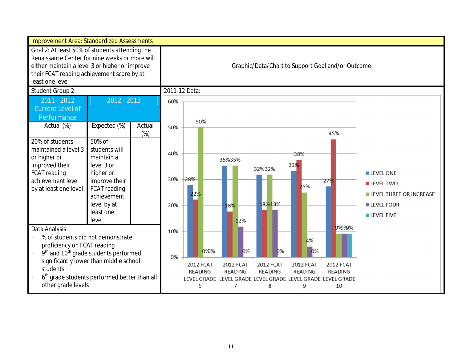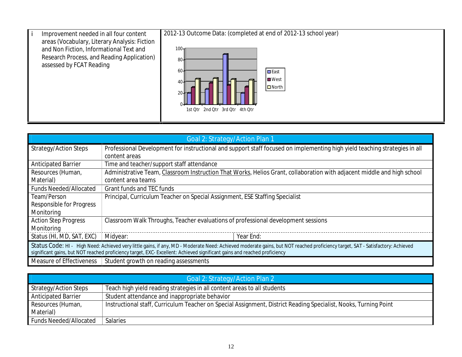

| Goal 2: Strategy/Action Plan 1                                                                                                                                                 |                                                                                   |                                                                                                                            |  |  |
|--------------------------------------------------------------------------------------------------------------------------------------------------------------------------------|-----------------------------------------------------------------------------------|----------------------------------------------------------------------------------------------------------------------------|--|--|
| <b>Strategy/Action Steps</b>                                                                                                                                                   |                                                                                   | Professional Development for instructional and support staff focused on implementing high yield teaching strategies in all |  |  |
|                                                                                                                                                                                | content areas                                                                     |                                                                                                                            |  |  |
| <b>Anticipated Barrier</b>                                                                                                                                                     | Time and teacher/support staff attendance                                         |                                                                                                                            |  |  |
| Resources (Human,                                                                                                                                                              |                                                                                   | Administrative Team, Classroom Instruction That Works, Helios Grant, collaboration with adjacent middle and high school    |  |  |
| Material)                                                                                                                                                                      | content area teams                                                                |                                                                                                                            |  |  |
| Funds Needed/Allocated                                                                                                                                                         | Grant funds and TEC funds                                                         |                                                                                                                            |  |  |
| Team/Person                                                                                                                                                                    | Principal, Curriculum Teacher on Special Assignment, ESE Staffing Specialist      |                                                                                                                            |  |  |
| Responsible for Progress                                                                                                                                                       |                                                                                   |                                                                                                                            |  |  |
| Monitoring                                                                                                                                                                     |                                                                                   |                                                                                                                            |  |  |
| <b>Action Step Progress</b>                                                                                                                                                    | Classroom Walk Throughs, Teacher evaluations of professional development sessions |                                                                                                                            |  |  |
| Monitoring                                                                                                                                                                     |                                                                                   |                                                                                                                            |  |  |
| Status (HI, MD, SAT, EXC)                                                                                                                                                      | Midyear:                                                                          | Year End:                                                                                                                  |  |  |
| Status Code: HI - High Need: Achieved very little gains, if any, MD - Moderate Need: Achieved moderate gains, but NOT reached proficiency target, SAT - Satisfactory: Achieved |                                                                                   |                                                                                                                            |  |  |
| significant gains, but NOT reached proficiency target, EXC- Excellent: Achieved significant gains and reached proficiency                                                      |                                                                                   |                                                                                                                            |  |  |
|                                                                                                                                                                                | Measure of Effectiveness   Student growth on reading assessments                  |                                                                                                                            |  |  |

| Goal 2: Strategy/Action Plan 2 |                                                                                                                  |  |  |  |  |  |
|--------------------------------|------------------------------------------------------------------------------------------------------------------|--|--|--|--|--|
| Strategy/Action Steps          | Teach high yield reading strategies in all content areas to all students                                         |  |  |  |  |  |
| <b>Anticipated Barrier</b>     | Student attendance and inappropriate behavior                                                                    |  |  |  |  |  |
| Resources (Human,              | Instructional staff, Curriculum Teacher on Special Assignment, District Reading Specialist, Nooks, Turning Point |  |  |  |  |  |
| Material)                      |                                                                                                                  |  |  |  |  |  |
| Funds Needed/Allocated         | <b>Salaries</b>                                                                                                  |  |  |  |  |  |